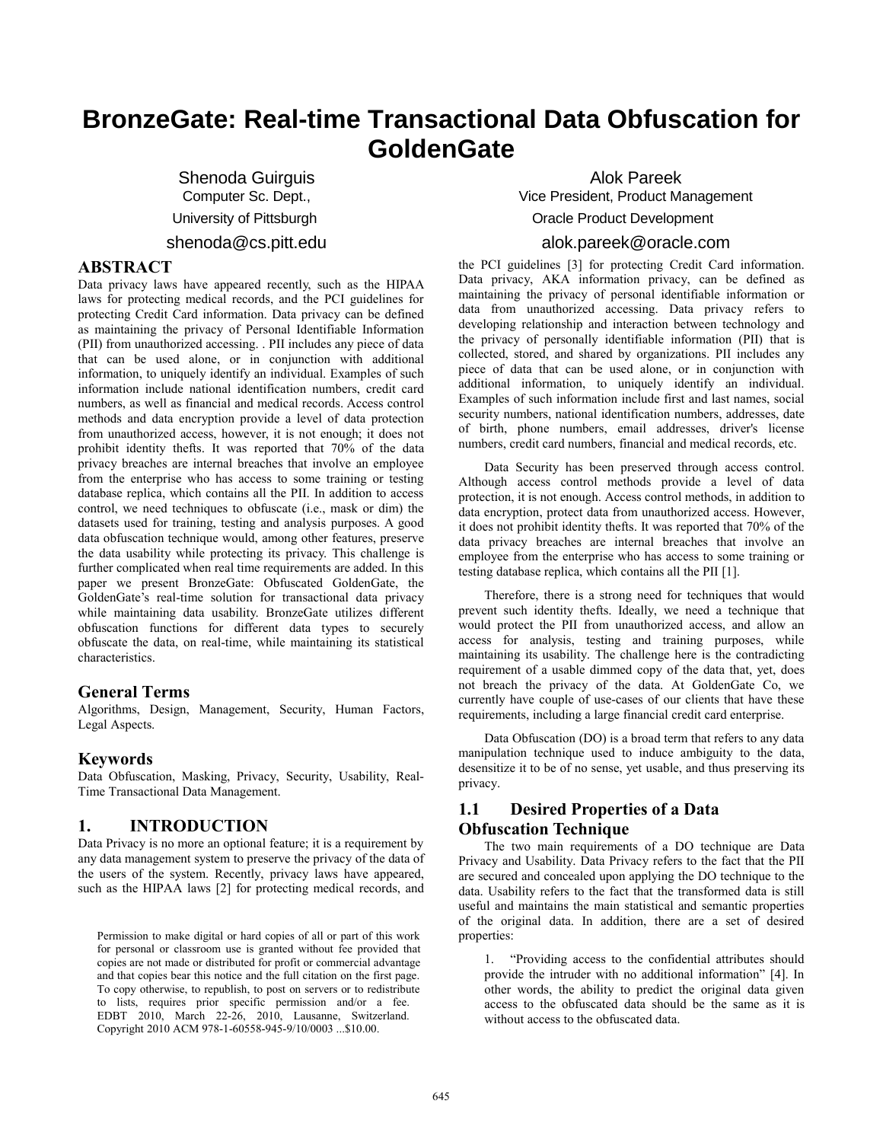# **BronzeGate: Real-time Transactional Data Obfuscation for GoldenGate**

Shenoda Guirguis Computer Sc. Dept., University of Pittsburgh shenoda@cs.pitt.edu

## **ABSTRACT**

Data privacy laws have appeared recently, such as the HIPAA laws for protecting medical records, and the PCI guidelines for protecting Credit Card information. Data privacy can be defined as maintaining the privacy of Personal Identifiable Information (PII) from unauthorized accessing. . PII includes any piece of data that can be used alone, or in conjunction with additional information, to uniquely identify an individual. Examples of such information include national identification numbers, credit card numbers, as well as financial and medical records. Access control methods and data encryption provide a level of data protection from unauthorized access, however, it is not enough; it does not prohibit identity thefts. It was reported that 70% of the data privacy breaches are internal breaches that involve an employee from the enterprise who has access to some training or testing database replica, which contains all the PII. In addition to access control, we need techniques to obfuscate (i.e., mask or dim) the datasets used for training, testing and analysis purposes. A good data obfuscation technique would, among other features, preserve the data usability while protecting its privacy. This challenge is further complicated when real time requirements are added. In this paper we present BronzeGate: Obfuscated GoldenGate, the GoldenGate's real-time solution for transactional data privacy while maintaining data usability. BronzeGate utilizes different obfuscation functions for different data types to securely obfuscate the data, on real-time, while maintaining its statistical characteristics.

## **General Terms**

Algorithms, Design, Management, Security, Human Factors, Legal Aspects.

## **Keywords**

Data Obfuscation, Masking, Privacy, Security, Usability, Real-Time Transactional Data Management.

# **1. INTRODUCTION**

Data Privacy is no more an optional feature; it is a requirement by any data management system to preserve the privacy of the data of the users of the system. Recently, privacy laws have appeared, such as the HIPAA laws [2] for protecting medical records, and

Permission to make digital or hard copies of all or part of this work for personal or classroom use is granted without fee provided that copies are not made or distributed for profit or commercial advantage and that copies bear this notice and the full citation on the first page. To copy otherwise, to republish, to post on servers or to redistribute to lists, requires prior specific permission and/or a fee. EDBT 2010, March 22-26, 2010, Lausanne, Switzerland. Copyright 2010 ACM 978-1-60558-945-9/10/0003 ...\$10.00.

Alok Pareek Vice President, Product Management Oracle Product Development alok.pareek@oracle.com

the PCI guidelines [3] for protecting Credit Card information. Data privacy, AKA information privacy, can be defined as maintaining the privacy of personal identifiable information or data from unauthorized accessing. Data privacy refers to developing relationship and interaction between technology and the privacy of personally identifiable information (PII) that is collected, stored, and shared by organizations. PII includes any piece of data that can be used alone, or in conjunction with additional information, to uniquely identify an individual. Examples of such information include first and last names, social security numbers, national identification numbers, addresses, date of birth, phone numbers, email addresses, driver's license numbers, credit card numbers, financial and medical records, etc.

Data Security has been preserved through access control. Although access control methods provide a level of data protection, it is not enough. Access control methods, in addition to data encryption, protect data from unauthorized access. However, it does not prohibit identity thefts. It was reported that 70% of the data privacy breaches are internal breaches that involve an employee from the enterprise who has access to some training or testing database replica, which contains all the PII [1].

Therefore, there is a strong need for techniques that would prevent such identity thefts. Ideally, we need a technique that would protect the PII from unauthorized access, and allow an access for analysis, testing and training purposes, while maintaining its usability. The challenge here is the contradicting requirement of a usable dimmed copy of the data that, yet, does not breach the privacy of the data. At GoldenGate Co, we currently have couple of use-cases of our clients that have these requirements, including a large financial credit card enterprise.

Data Obfuscation (DO) is a broad term that refers to any data manipulation technique used to induce ambiguity to the data, desensitize it to be of no sense, yet usable, and thus preserving its privacy.

# **1.1 Desired Properties of a Data Obfuscation Technique**

The two main requirements of a DO technique are Data Privacy and Usability. Data Privacy refers to the fact that the PII are secured and concealed upon applying the DO technique to the data. Usability refers to the fact that the transformed data is still useful and maintains the main statistical and semantic properties of the original data. In addition, there are a set of desired properties:

1. "Providing access to the confidential attributes should provide the intruder with no additional information" [4]. In other words, the ability to predict the original data given access to the obfuscated data should be the same as it is without access to the obfuscated data.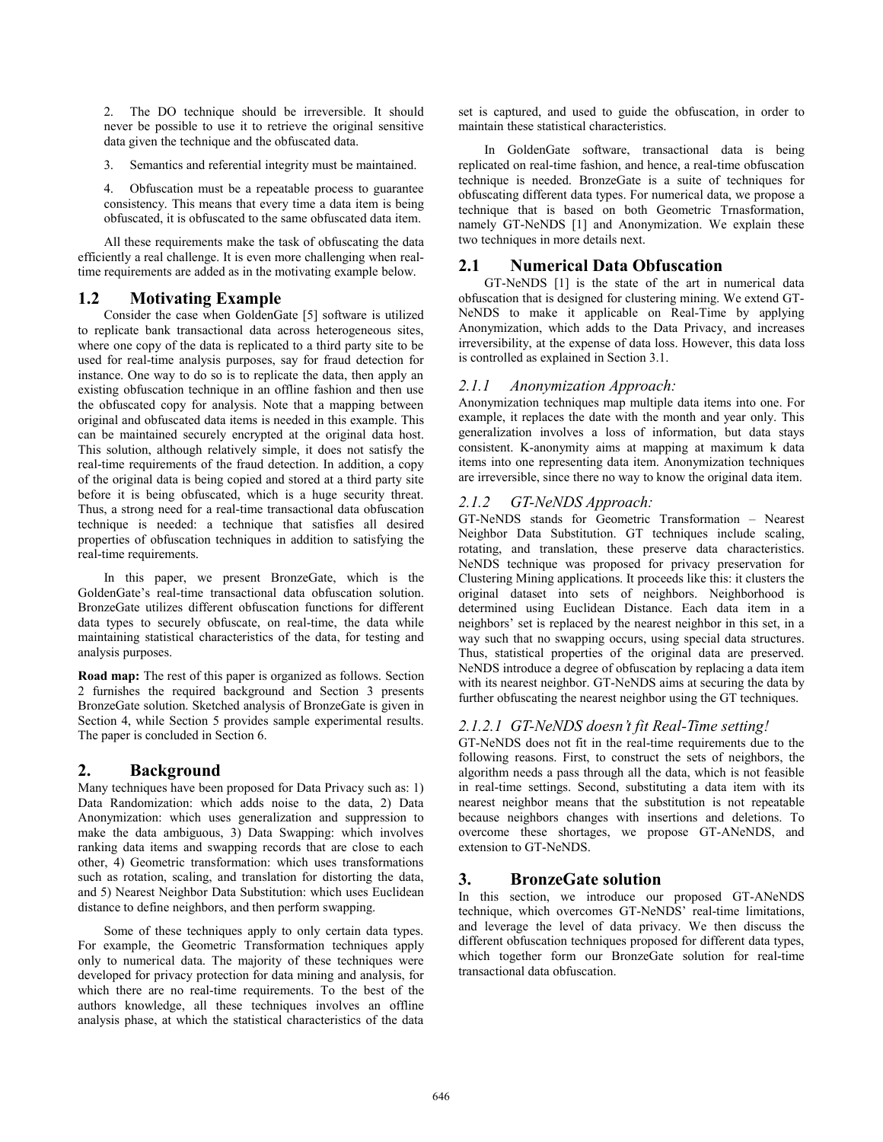2. The DO technique should be irreversible. It should never be possible to use it to retrieve the original sensitive data given the technique and the obfuscated data.

3. Semantics and referential integrity must be maintained.

4. Obfuscation must be a repeatable process to guarantee consistency. This means that every time a data item is being obfuscated, it is obfuscated to the same obfuscated data item.

All these requirements make the task of obfuscating the data efficiently a real challenge. It is even more challenging when realtime requirements are added as in the motivating example below.

# **1.2 Motivating Example**

Consider the case when GoldenGate [5] software is utilized to replicate bank transactional data across heterogeneous sites, where one copy of the data is replicated to a third party site to be used for real-time analysis purposes, say for fraud detection for instance. One way to do so is to replicate the data, then apply an existing obfuscation technique in an offline fashion and then use the obfuscated copy for analysis. Note that a mapping between original and obfuscated data items is needed in this example. This can be maintained securely encrypted at the original data host. This solution, although relatively simple, it does not satisfy the real-time requirements of the fraud detection. In addition, a copy of the original data is being copied and stored at a third party site before it is being obfuscated, which is a huge security threat. Thus, a strong need for a real-time transactional data obfuscation technique is needed: a technique that satisfies all desired properties of obfuscation techniques in addition to satisfying the real-time requirements.

In this paper, we present BronzeGate, which is the GoldenGate's real-time transactional data obfuscation solution. BronzeGate utilizes different obfuscation functions for different data types to securely obfuscate, on real-time, the data while maintaining statistical characteristics of the data, for testing and analysis purposes.

**Road map:** The rest of this paper is organized as follows. Section 2 furnishes the required background and Section 3 presents BronzeGate solution. Sketched analysis of BronzeGate is given in Section 4, while Section 5 provides sample experimental results. The paper is concluded in Section 6.

## **2. Background**

Many techniques have been proposed for Data Privacy such as: 1) Data Randomization: which adds noise to the data, 2) Data Anonymization: which uses generalization and suppression to make the data ambiguous, 3) Data Swapping: which involves ranking data items and swapping records that are close to each other, 4) Geometric transformation: which uses transformations such as rotation, scaling, and translation for distorting the data, and 5) Nearest Neighbor Data Substitution: which uses Euclidean distance to define neighbors, and then perform swapping.

Some of these techniques apply to only certain data types. For example, the Geometric Transformation techniques apply only to numerical data. The majority of these techniques were developed for privacy protection for data mining and analysis, for which there are no real-time requirements. To the best of the authors knowledge, all these techniques involves an offline analysis phase, at which the statistical characteristics of the data

set is captured, and used to guide the obfuscation, in order to maintain these statistical characteristics.

In GoldenGate software, transactional data is being replicated on real-time fashion, and hence, a real-time obfuscation technique is needed. BronzeGate is a suite of techniques for obfuscating different data types. For numerical data, we propose a technique that is based on both Geometric Trnasformation, namely GT-NeNDS [1] and Anonymization. We explain these two techniques in more details next.

## **2.1 Numerical Data Obfuscation**

GT-NeNDS [1] is the state of the art in numerical data obfuscation that is designed for clustering mining. We extend GT-NeNDS to make it applicable on Real-Time by applying Anonymization, which adds to the Data Privacy, and increases irreversibility, at the expense of data loss. However, this data loss is controlled as explained in Section 3.1.

## *2.1.1 Anonymization Approach:*

Anonymization techniques map multiple data items into one. For example, it replaces the date with the month and year only. This generalization involves a loss of information, but data stays consistent. K-anonymity aims at mapping at maximum k data items into one representing data item. Anonymization techniques are irreversible, since there no way to know the original data item.

#### *2.1.2 GT-NeNDS Approach:*

GT-NeNDS stands for Geometric Transformation – Nearest Neighbor Data Substitution. GT techniques include scaling, rotating, and translation, these preserve data characteristics. NeNDS technique was proposed for privacy preservation for Clustering Mining applications. It proceeds like this: it clusters the original dataset into sets of neighbors. Neighborhood is determined using Euclidean Distance. Each data item in a neighbors' set is replaced by the nearest neighbor in this set, in a way such that no swapping occurs, using special data structures. Thus, statistical properties of the original data are preserved. NeNDS introduce a degree of obfuscation by replacing a data item with its nearest neighbor. GT-NeNDS aims at securing the data by further obfuscating the nearest neighbor using the GT techniques.

#### *2.1.2.1 GT-NeNDS doesn't fit Real-Time setting!*

GT-NeNDS does not fit in the real-time requirements due to the following reasons. First, to construct the sets of neighbors, the algorithm needs a pass through all the data, which is not feasible in real-time settings. Second, substituting a data item with its nearest neighbor means that the substitution is not repeatable because neighbors changes with insertions and deletions. To overcome these shortages, we propose GT-ANeNDS, and extension to GT-NeNDS.

## **3. BronzeGate solution**

In this section, we introduce our proposed GT-ANeNDS technique, which overcomes GT-NeNDS' real-time limitations, and leverage the level of data privacy. We then discuss the different obfuscation techniques proposed for different data types, which together form our BronzeGate solution for real-time transactional data obfuscation.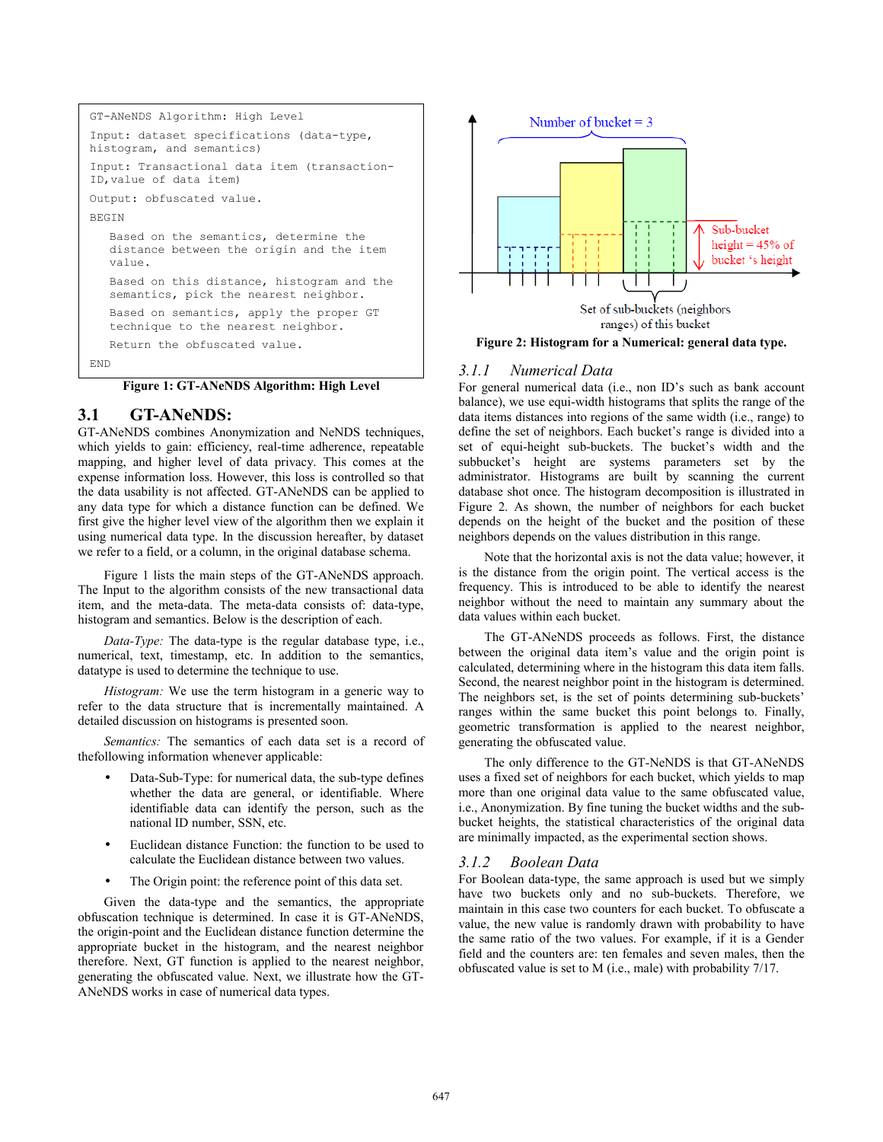```
GT-ANeNDS Algorithm: High Level 
Input: dataset specifications (data-type, 
histogram, and semantics)
Input: Transactional data item (transaction-
ID,value of data item)
Output: obfuscated value.
BEGIN
   Based on the semantics, determine the 
   distance between the origin and the item 
   value.
   Based on this distance, histogram and the 
   semantics, pick the nearest neighbor.
   Based on semantics, apply the proper GT 
   technique to the nearest neighbor.
   Return the obfuscated value.
END
```
**Figure 1: GT-ANeNDS Algorithm: High Level**

#### **3.1 GT-ANeNDS:**

GT-ANeNDS combines Anonymization and NeNDS techniques, which yields to gain: efficiency, real-time adherence, repeatable mapping, and higher level of data privacy. This comes at the expense information loss. However, this loss is controlled so that the data usability is not affected. GT-ANeNDS can be applied to any data type for which a distance function can be defined. We first give the higher level view of the algorithm then we explain it using numerical data type. In the discussion hereafter, by dataset we refer to a field, or a column, in the original database schema.

Figure 1 lists the main steps of the GT-ANeNDS approach. The Input to the algorithm consists of the new transactional data item, and the meta-data. The meta-data consists of: data-type, histogram and semantics. Below is the description of each.

*Data-Type:* The data-type is the regular database type, i.e., numerical, text, timestamp, etc. In addition to the semantics, datatype is used to determine the technique to use.

*Histogram:* We use the term histogram in a generic way to refer to the data structure that is incrementally maintained. A detailed discussion on histograms is presented soon.

*Semantics:* The semantics of each data set is a record of thefollowing information whenever applicable:

- Data-Sub-Type: for numerical data, the sub-type defines whether the data are general, or identifiable. Where identifiable data can identify the person, such as the national ID number, SSN, etc.
- Euclidean distance Function: the function to be used to calculate the Euclidean distance between two values.
- The Origin point: the reference point of this data set.

 Given the data-type and the semantics, the appropriate obfuscation technique is determined. In case it is GT-ANeNDS, the origin-point and the Euclidean distance function determine the appropriate bucket in the histogram, and the nearest neighbor therefore. Next, GT function is applied to the nearest neighbor, generating the obfuscated value. Next, we illustrate how the GT-ANeNDS works in case of numerical data types.



**Figure 2: Histogram for a Numerical: general data type.**

#### *3.1.1 Numerical Data*

For general numerical data (i.e., non ID's such as bank account balance), we use equi-width histograms that splits the range of the data items distances into regions of the same width (i.e., range) to define the set of neighbors. Each bucket's range is divided into a set of equi-height sub-buckets. The bucket's width and the subbucket's height are systems parameters set by the administrator. Histograms are built by scanning the current database shot once. The histogram decomposition is illustrated in Figure 2. As shown, the number of neighbors for each bucket depends on the height of the bucket and the position of these neighbors depends on the values distribution in this range.

Note that the horizontal axis is not the data value; however, it is the distance from the origin point. The vertical access is the frequency. This is introduced to be able to identify the nearest neighbor without the need to maintain any summary about the data values within each bucket.

The GT-ANeNDS proceeds as follows. First, the distance between the original data item's value and the origin point is calculated, determining where in the histogram this data item falls. Second, the nearest neighbor point in the histogram is determined. The neighbors set, is the set of points determining sub-buckets' ranges within the same bucket this point belongs to. Finally, geometric transformation is applied to the nearest neighbor, generating the obfuscated value.

The only difference to the GT-NeNDS is that GT-ANeNDS uses a fixed set of neighbors for each bucket, which yields to map more than one original data value to the same obfuscated value, i.e., Anonymization. By fine tuning the bucket widths and the subbucket heights, the statistical characteristics of the original data are minimally impacted, as the experimental section shows.

#### *3.1.2 Boolean Data*

For Boolean data-type, the same approach is used but we simply have two buckets only and no sub-buckets. Therefore, we maintain in this case two counters for each bucket. To obfuscate a value, the new value is randomly drawn with probability to have the same ratio of the two values. For example, if it is a Gender field and the counters are: ten females and seven males, then the obfuscated value is set to M (i.e., male) with probability 7/17.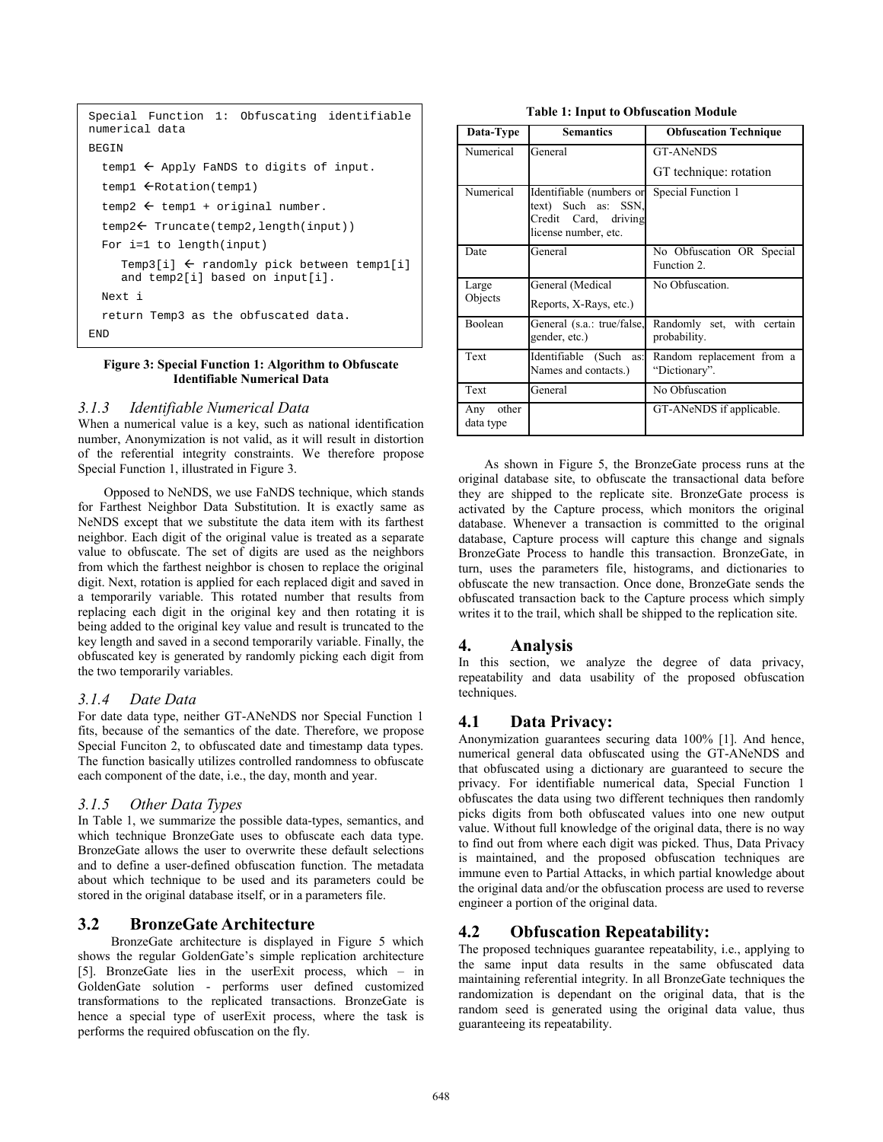```
Special Function 1: Obfuscating identifiable 
numerical data
BEGIN
  templ \leftarrow Apply FaNDS to digits of input.
  temp1 \leftarrow Rotation(temp1)
  temp2 \leftarrow temp1 + original number.
  temp2<br/> Truncate(temp2,length(input))
  For i=1 to length(input)
     Temp3[i] \leftarrow randomly pick between temp1[i]
     and temp2[i] based on input[i]. 
 Next i
  return Temp3 as the obfuscated data.
END
```
#### **Figure 3: Special Function 1: Algorithm to Obfuscate Identifiable Numerical Data**

#### *3.1.3 Identifiable Numerical Data*

When a numerical value is a key, such as national identification number, Anonymization is not valid, as it will result in distortion of the referential integrity constraints. We therefore propose Special Function 1, illustrated in Figure 3.

Opposed to NeNDS, we use FaNDS technique, which stands for Farthest Neighbor Data Substitution. It is exactly same as NeNDS except that we substitute the data item with its farthest neighbor. Each digit of the original value is treated as a separate value to obfuscate. The set of digits are used as the neighbors from which the farthest neighbor is chosen to replace the original digit. Next, rotation is applied for each replaced digit and saved in a temporarily variable. This rotated number that results from replacing each digit in the original key and then rotating it is being added to the original key value and result is truncated to the key length and saved in a second temporarily variable. Finally, the obfuscated key is generated by randomly picking each digit from the two temporarily variables.

#### *3.1.4 Date Data*

For date data type, neither GT-ANeNDS nor Special Function 1 fits, because of the semantics of the date. Therefore, we propose Special Funciton 2, to obfuscated date and timestamp data types. The function basically utilizes controlled randomness to obfuscate each component of the date, i.e., the day, month and year.

#### *3.1.5 Other Data Types*

In Table 1, we summarize the possible data-types, semantics, and which technique BronzeGate uses to obfuscate each data type. BronzeGate allows the user to overwrite these default selections and to define a user-defined obfuscation function. The metadata about which technique to be used and its parameters could be stored in the original database itself, or in a parameters file.

#### **3.2 BronzeGate Architecture**

 BronzeGate architecture is displayed in Figure 5 which shows the regular GoldenGate's simple replication architecture [5]. BronzeGate lies in the userExit process, which – in GoldenGate solution - performs user defined customized transformations to the replicated transactions. BronzeGate is hence a special type of userExit process, where the task is performs the required obfuscation on the fly.

| Data-Type                 | <b>Semantics</b>                                                                                | <b>Obfuscation Technique</b>               |  |  |  |
|---------------------------|-------------------------------------------------------------------------------------------------|--------------------------------------------|--|--|--|
| Numerical                 | General                                                                                         | <b>GT-ANeNDS</b>                           |  |  |  |
|                           |                                                                                                 | GT technique: rotation                     |  |  |  |
| Numerical                 | Identifiable (numbers or<br>text) Such as: SSN,<br>Credit Card, driving<br>license number, etc. | Special Function 1                         |  |  |  |
| Date                      | General                                                                                         | No Obfuscation OR Special<br>Function 2.   |  |  |  |
| Large                     | General (Medical                                                                                | No Obfuscation.                            |  |  |  |
| Objects                   | Reports, X-Rays, etc.)                                                                          |                                            |  |  |  |
| Boolean                   | General (s.a.: true/false,<br>gender, etc.)                                                     | Randomly set, with certain<br>probability. |  |  |  |
| Text                      | Identifiable (Such<br>as:<br>Names and contacts.)                                               | Random replacement from a<br>"Dictionary". |  |  |  |
| Text                      | General                                                                                         | No Obfuscation                             |  |  |  |
| other<br>Any<br>data type |                                                                                                 | GT-ANeNDS if applicable.                   |  |  |  |

As shown in Figure 5, the BronzeGate process runs at the original database site, to obfuscate the transactional data before they are shipped to the replicate site. BronzeGate process is activated by the Capture process, which monitors the original database. Whenever a transaction is committed to the original database, Capture process will capture this change and signals BronzeGate Process to handle this transaction. BronzeGate, in turn, uses the parameters file, histograms, and dictionaries to obfuscate the new transaction. Once done, BronzeGate sends the obfuscated transaction back to the Capture process which simply writes it to the trail, which shall be shipped to the replication site.

#### **4. Analysis**

In this section, we analyze the degree of data privacy, repeatability and data usability of the proposed obfuscation techniques.

## **4.1 Data Privacy:**

Anonymization guarantees securing data 100% [1]. And hence, numerical general data obfuscated using the GT-ANeNDS and that obfuscated using a dictionary are guaranteed to secure the privacy. For identifiable numerical data, Special Function 1 obfuscates the data using two different techniques then randomly picks digits from both obfuscated values into one new output value. Without full knowledge of the original data, there is no way to find out from where each digit was picked. Thus, Data Privacy is maintained, and the proposed obfuscation techniques are immune even to Partial Attacks, in which partial knowledge about the original data and/or the obfuscation process are used to reverse engineer a portion of the original data.

## **4.2 Obfuscation Repeatability:**

The proposed techniques guarantee repeatability, i.e., applying to the same input data results in the same obfuscated data maintaining referential integrity. In all BronzeGate techniques the randomization is dependant on the original data, that is the random seed is generated using the original data value, thus guaranteeing its repeatability.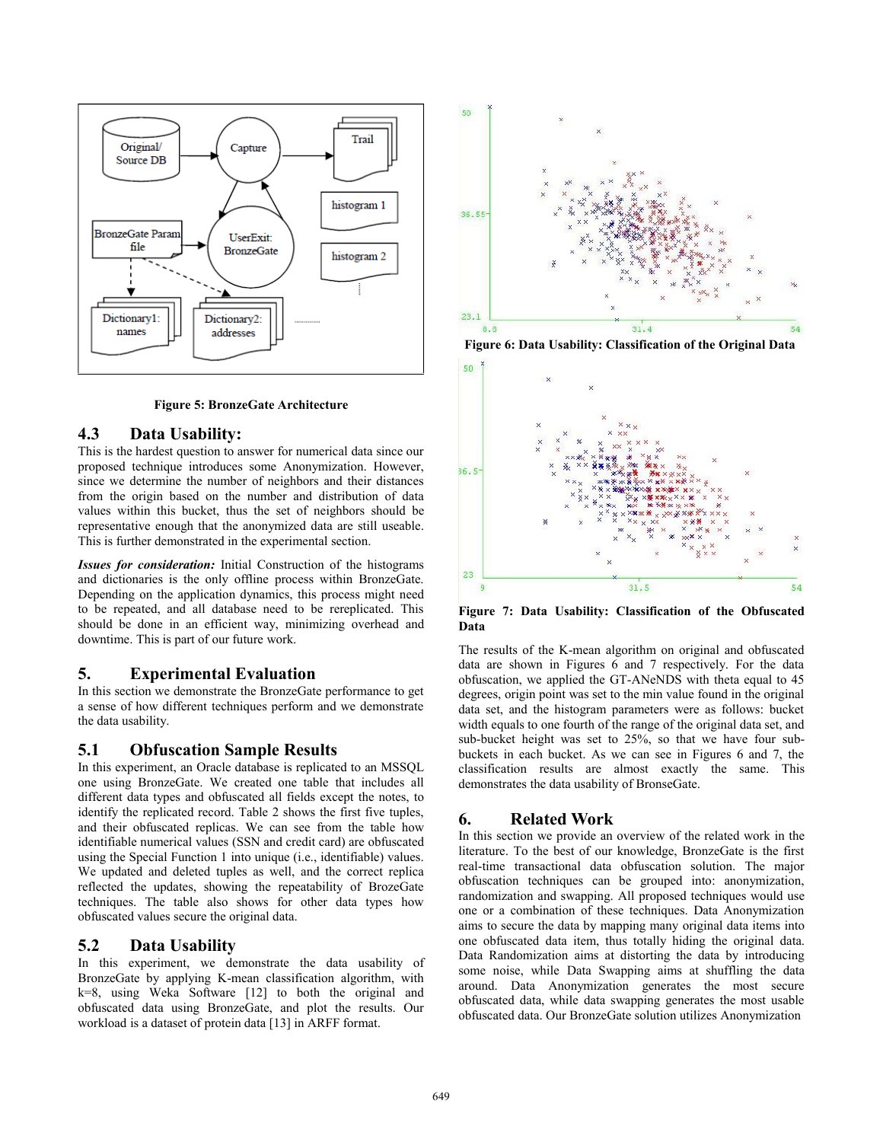

**Figure 5: BronzeGate Architecture**

## **4.3 Data Usability:**

This is the hardest question to answer for numerical data since our proposed technique introduces some Anonymization. However, since we determine the number of neighbors and their distances from the origin based on the number and distribution of data values within this bucket, thus the set of neighbors should be representative enough that the anonymized data are still useable. This is further demonstrated in the experimental section.

*Issues for consideration:* Initial Construction of the histograms and dictionaries is the only offline process within BronzeGate. Depending on the application dynamics, this process might need to be repeated, and all database need to be rereplicated. This should be done in an efficient way, minimizing overhead and downtime. This is part of our future work.

## **5. Experimental Evaluation**

In this section we demonstrate the BronzeGate performance to get a sense of how different techniques perform and we demonstrate the data usability.

## **5.1 Obfuscation Sample Results**

In this experiment, an Oracle database is replicated to an MSSQL one using BronzeGate. We created one table that includes all different data types and obfuscated all fields except the notes, to identify the replicated record. Table 2 shows the first five tuples, and their obfuscated replicas. We can see from the table how identifiable numerical values (SSN and credit card) are obfuscated using the Special Function 1 into unique (i.e., identifiable) values. We updated and deleted tuples as well, and the correct replica reflected the updates, showing the repeatability of BrozeGate techniques. The table also shows for other data types how obfuscated values secure the original data.

## **5.2 Data Usability**

In this experiment, we demonstrate the data usability of BronzeGate by applying K-mean classification algorithm, with k=8, using Weka Software [12] to both the original and obfuscated data using BronzeGate, and plot the results. Our workload is a dataset of protein data [13] in ARFF format.



**Figure 6: Data Usability: Classification of the Original Data** 



**Figure 7: Data Usability: Classification of the Obfuscated Data**

The results of the K-mean algorithm on original and obfuscated data are shown in Figures 6 and 7 respectively. For the data obfuscation, we applied the GT-ANeNDS with theta equal to 45 degrees, origin point was set to the min value found in the original data set, and the histogram parameters were as follows: bucket width equals to one fourth of the range of the original data set, and sub-bucket height was set to 25%, so that we have four subbuckets in each bucket. As we can see in Figures 6 and 7, the classification results are almost exactly the same. This demonstrates the data usability of BronseGate.

# **6. Related Work**

In this section we provide an overview of the related work in the literature. To the best of our knowledge, BronzeGate is the first real-time transactional data obfuscation solution. The major obfuscation techniques can be grouped into: anonymization, randomization and swapping. All proposed techniques would use one or a combination of these techniques. Data Anonymization aims to secure the data by mapping many original data items into one obfuscated data item, thus totally hiding the original data. Data Randomization aims at distorting the data by introducing some noise, while Data Swapping aims at shuffling the data around. Data Anonymization generates the most secure obfuscated data, while data swapping generates the most usable obfuscated data. Our BronzeGate solution utilizes Anonymization